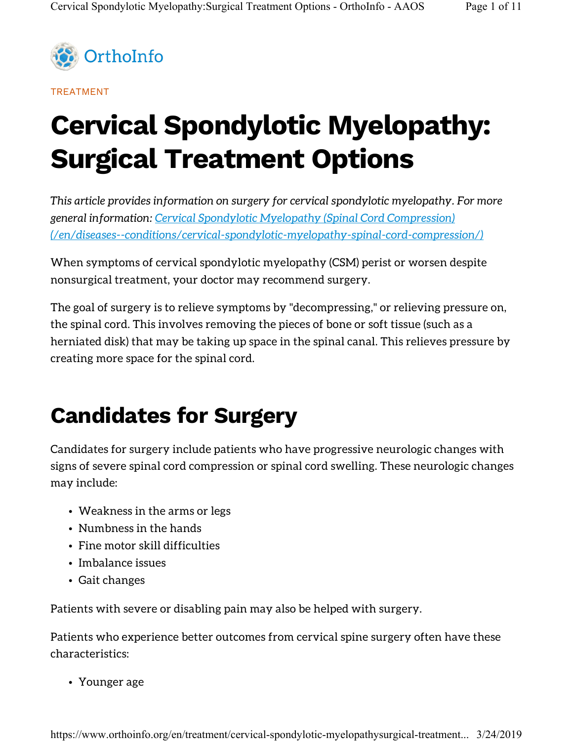

TREATMENT

# Cervical Spondylotic Myelopathy: Surgical Treatment Options

This article provides information on surgery for cervical spondylotic myelopathy. For more general information: Cervical Spondylotic Myelopathy (Spinal Cord Compression) (/en/diseases--conditions/cervical-spondylotic-myelopathy-spinal-cord-compression/)

When symptoms of cervical spondylotic myelopathy (CSM) perist or worsen despite nonsurgical treatment, your doctor may recommend surgery.

The goal of surgery is to relieve symptoms by "decompressing," or relieving pressure on, the spinal cord. This involves removing the pieces of bone or soft tissue (such as a herniated disk) that may be taking up space in the spinal canal. This relieves pressure by creating more space for the spinal cord.

## Candidates for Surgery

Candidates for surgery include patients who have progressive neurologic changes with signs of severe spinal cord compression or spinal cord swelling. These neurologic changes may include:

- Weakness in the arms or legs
- Numbness in the hands
- Fine motor skill difficulties
- Imbalance issues
- Gait changes

Patients with severe or disabling pain may also be helped with surgery.

Patients who experience better outcomes from cervical spine surgery often have these characteristics:

• Younger age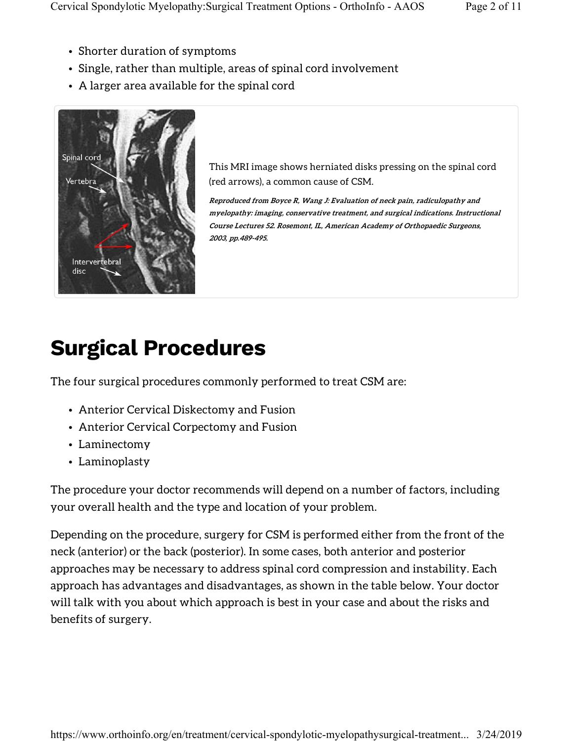- Shorter duration of symptoms
- Single, rather than multiple, areas of spinal cord involvement
- A larger area available for the spinal cord



This MRI image shows herniated disks pressing on the spinal cord (red arrows), a common cause of CSM.

Reproduced from Boyce R, Wang J: Evaluation of neck pain, radiculopathy and myelopathy: imaging, conservative treatment, and surgical indications. Instructional Course Lectures 52. Rosemont, IL, American Academy of Orthopaedic Surgeons, 2003, pp.489-495.

## Surgical Procedures

The four surgical procedures commonly performed to treat CSM are:

- Anterior Cervical Diskectomy and Fusion
- Anterior Cervical Corpectomy and Fusion
- Laminectomy
- Laminoplasty

The procedure your doctor recommends will depend on a number of factors, including your overall health and the type and location of your problem.

Depending on the procedure, surgery for CSM is performed either from the front of the neck (anterior) or the back (posterior). In some cases, both anterior and posterior approaches may be necessary to address spinal cord compression and instability. Each approach has advantages and disadvantages, as shown in the table below. Your doctor will talk with you about which approach is best in your case and about the risks and benefits of surgery.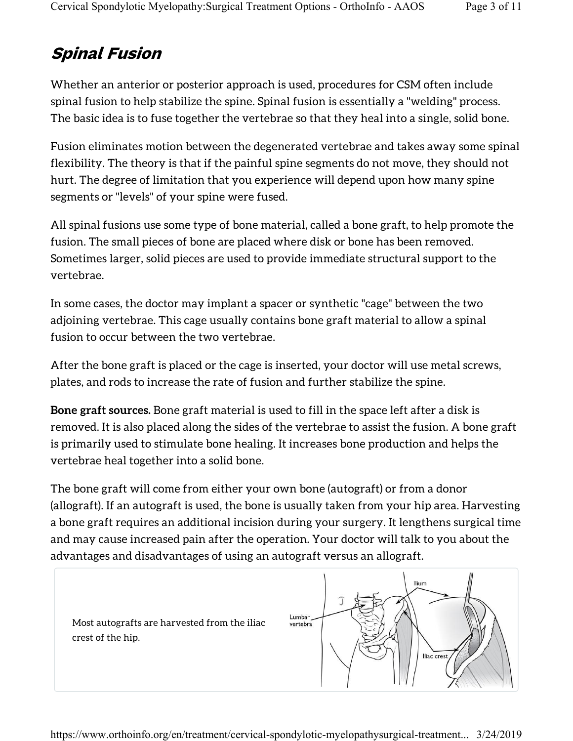#### Spinal Fusion

Whether an anterior or posterior approach is used, procedures for CSM often include spinal fusion to help stabilize the spine. Spinal fusion is essentially a "welding" process. The basic idea is to fuse together the vertebrae so that they heal into a single, solid bone.

Fusion eliminates motion between the degenerated vertebrae and takes away some spinal flexibility. The theory is that if the painful spine segments do not move, they should not hurt. The degree of limitation that you experience will depend upon how many spine segments or "levels" of your spine were fused.

All spinal fusions use some type of bone material, called a bone graft, to help promote the fusion. The small pieces of bone are placed where disk or bone has been removed. Sometimes larger, solid pieces are used to provide immediate structural support to the vertebrae.

In some cases, the doctor may implant a spacer or synthetic "cage" between the two adjoining vertebrae. This cage usually contains bone graft material to allow a spinal fusion to occur between the two vertebrae.

After the bone graft is placed or the cage is inserted, your doctor will use metal screws, plates, and rods to increase the rate of fusion and further stabilize the spine.

Bone graft sources. Bone graft material is used to fill in the space left after a disk is removed. It is also placed along the sides of the vertebrae to assist the fusion. A bone graft is primarily used to stimulate bone healing. It increases bone production and helps the vertebrae heal together into a solid bone.

The bone graft will come from either your own bone (autograft) or from a donor (allograft). If an autograft is used, the bone is usually taken from your hip area. Harvesting a bone graft requires an additional incision during your surgery. It lengthens surgical time and may cause increased pain after the operation. Your doctor will talk to you about the advantages and disadvantages of using an autograft versus an allograft.

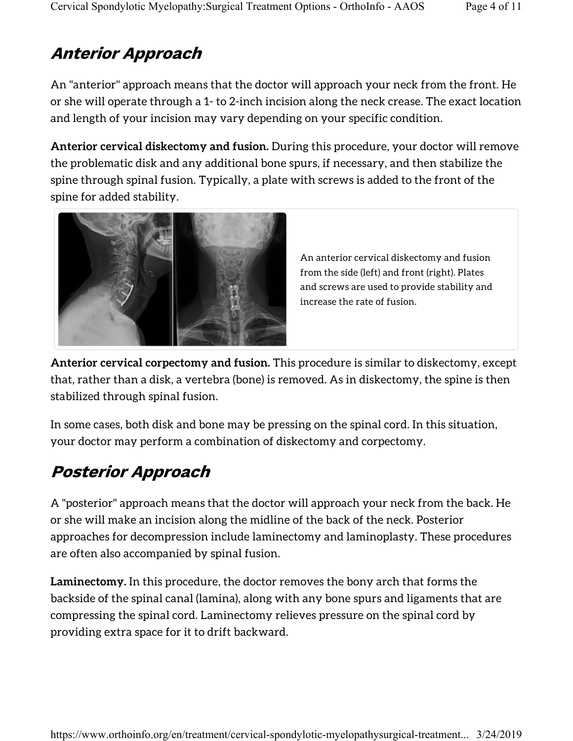### Anterior Approach

An "anterior" approach means that the doctor will approach your neck from the front. He or she will operate through a 1- to 2-inch incision along the neck crease. The exact location and length of your incision may vary depending on your specific condition.

Anterior cervical diskectomy and fusion. During this procedure, your doctor will remove the problematic disk and any additional bone spurs, if necessary, and then stabilize the spine through spinal fusion. Typically, a plate with screws is added to the front of the spine for added stability.



An anterior cervical diskectomy and fusion from the side (left) and front (right). Plates and screws are used to provide stability and increase the rate of fusion.

Anterior cervical corpectomy and fusion. This procedure is similar to diskectomy, except that, rather than a disk, a vertebra (bone) is removed. As in diskectomy, the spine is then stabilized through spinal fusion.

In some cases, both disk and bone may be pressing on the spinal cord. In this situation, your doctor may perform a combination of diskectomy and corpectomy.

### Posterior Approach

A "posterior" approach means that the doctor will approach your neck from the back. He or she will make an incision along the midline of the back of the neck. Posterior approaches for decompression include laminectomy and laminoplasty. These procedures are often also accompanied by spinal fusion.

Laminectomy. In this procedure, the doctor removes the bony arch that forms the backside of the spinal canal (lamina), along with any bone spurs and ligaments that are compressing the spinal cord. Laminectomy relieves pressure on the spinal cord by providing extra space for it to drift backward.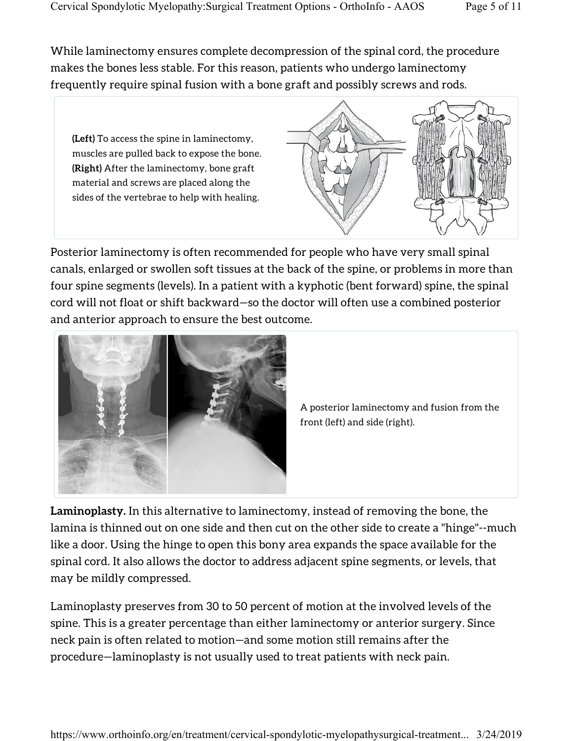While laminectomy ensures complete decompression of the spinal cord, the procedure makes the bones less stable. For this reason, patients who undergo laminectomy frequently require spinal fusion with a bone graft and possibly screws and rods.

(Left) To access the spine in laminectomy, muscles are pulled back to expose the bone. (Right) After the laminectomy, bone graft material and screws are placed along the sides of the vertebrae to help with healing.



Posterior laminectomy is often recommended for people who have very small spinal canals, enlarged or swollen soft tissues at the back of the spine, or problems in more than four spine segments (levels). In a patient with a kyphotic (bent forward) spine, the spinal cord will not float or shift backward—so the doctor will often use a combined posterior and anterior approach to ensure the best outcome.



A posterior laminectomy and fusion from the front (left) and side (right).

Laminoplasty. In this alternative to laminectomy, instead of removing the bone, the lamina is thinned out on one side and then cut on the other side to create a "hinge"--much like a door. Using the hinge to open this bony area expands the space available for the spinal cord. It also allows the doctor to address adjacent spine segments, or levels, that may be mildly compressed.

Laminoplasty preserves from 30 to 50 percent of motion at the involved levels of the spine. This is a greater percentage than either laminectomy or anterior surgery. Since neck pain is often related to motion—and some motion still remains after the procedure—laminoplasty is not usually used to treat patients with neck pain.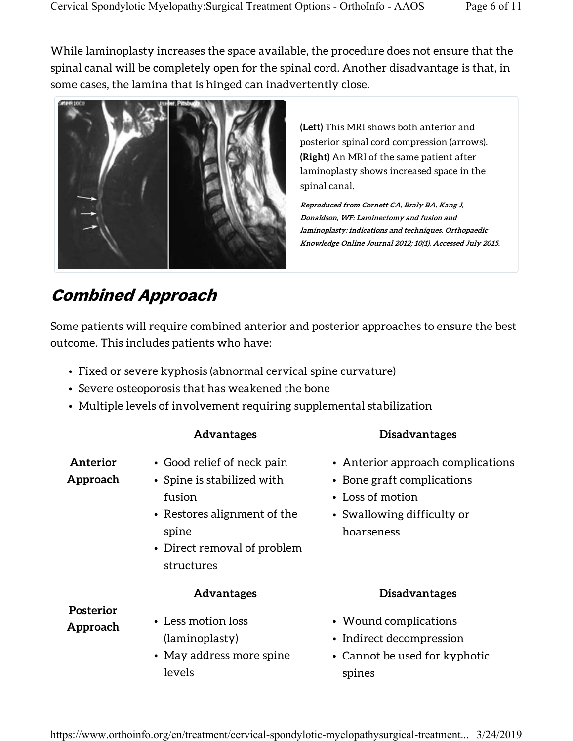While laminoplasty increases the space available, the procedure does not ensure that the spinal canal will be completely open for the spinal cord. Another disadvantage is that, in some cases, the lamina that is hinged can inadvertently close.



(Left) This MRI shows both anterior and posterior spinal cord compression (arrows). (Right) An MRI of the same patient after laminoplasty shows increased space in the spinal canal.

Reproduced from Cornett CA, Braly BA, Kang J, Donaldson, WF: Laminectomy and fusion and laminoplasty: indications and techniques. Orthopaedic Knowledge Online Journal 2012; 10(1). Accessed July 2015.

#### Combined Approach

Some patients will require combined anterior and posterior approaches to ensure the best outcome. This includes patients who have:

- Fixed or severe kyphosis (abnormal cervical spine curvature)
- Severe osteoporosis that has weakened the bone
- Multiple levels of involvement requiring supplemental stabilization

| Anterior<br>Approach         | • Good relief of neck pain<br>• Spine is stabilized with<br>fusion<br>• Restores alignment of the<br>spine<br>• Direct removal of problem<br>structures | • Anterior approach complications<br>• Bone graft complications<br>• Loss of motion<br>• Swallowing difficulty or<br>hoarseness |
|------------------------------|---------------------------------------------------------------------------------------------------------------------------------------------------------|---------------------------------------------------------------------------------------------------------------------------------|
| <b>Posterior</b><br>Approach | <b>Advantages</b><br>• Less motion loss<br>(laminoplasty)                                                                                               | <b>Disadvantages</b><br>• Wound complications<br>• Indirect decompression                                                       |
|                              | • May address more spine<br>levels                                                                                                                      | • Cannot be used for kyphotic<br>spines                                                                                         |

Advantages Disadvantages

#### https://www.orthoinfo.org/en/treatment/cervical-spondylotic-myelopathysurgical-treatment... 3/24/2019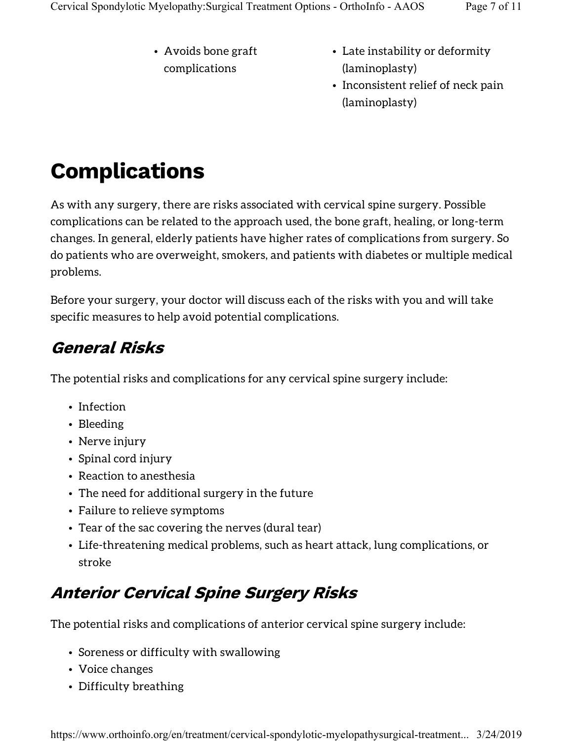- Avoids bone graft complications
- Late instability or deformity (laminoplasty)
- Inconsistent relief of neck pain (laminoplasty)

## Complications

As with any surgery, there are risks associated with cervical spine surgery. Possible complications can be related to the approach used, the bone graft, healing, or long-term changes. In general, elderly patients have higher rates of complications from surgery. So do patients who are overweight, smokers, and patients with diabetes or multiple medical problems.

Before your surgery, your doctor will discuss each of the risks with you and will take specific measures to help avoid potential complications.

#### General Risks

The potential risks and complications for any cervical spine surgery include:

- Infection
- Bleeding
- Nerve injury
- Spinal cord injury
- Reaction to anesthesia
- The need for additional surgery in the future
- Failure to relieve symptoms
- Tear of the sac covering the nerves (dural tear)
- Life-threatening medical problems, such as heart attack, lung complications, or stroke

### Anterior Cervical Spine Surgery Risks

The potential risks and complications of anterior cervical spine surgery include:

- Soreness or difficulty with swallowing
- Voice changes
- Difficulty breathing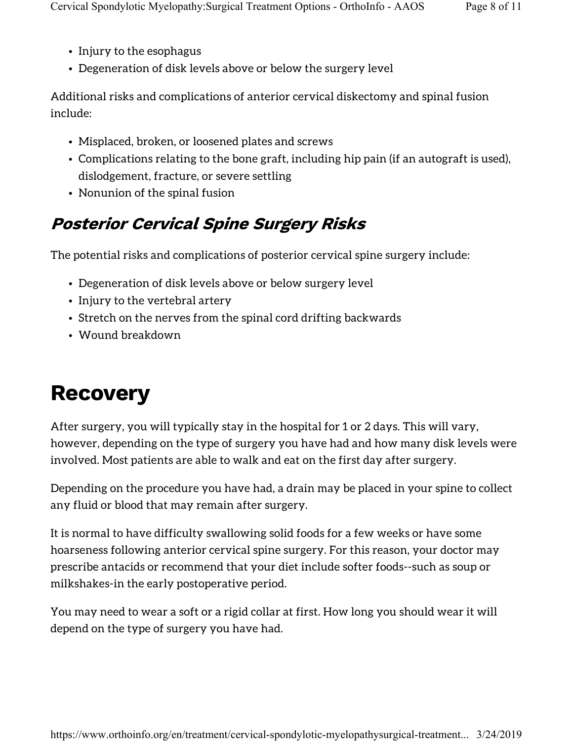- Injury to the esophagus
- Degeneration of disk levels above or below the surgery level

Additional risks and complications of anterior cervical diskectomy and spinal fusion include:

- Misplaced, broken, or loosened plates and screws
- Complications relating to the bone graft, including hip pain (if an autograft is used), dislodgement, fracture, or severe settling
- Nonunion of the spinal fusion

### Posterior Cervical Spine Surgery Risks

The potential risks and complications of posterior cervical spine surgery include:

- Degeneration of disk levels above or below surgery level
- Injury to the vertebral artery
- Stretch on the nerves from the spinal cord drifting backwards
- Wound breakdown

## **Recovery**

After surgery, you will typically stay in the hospital for 1 or 2 days. This will vary, however, depending on the type of surgery you have had and how many disk levels were involved. Most patients are able to walk and eat on the first day after surgery.

Depending on the procedure you have had, a drain may be placed in your spine to collect any fluid or blood that may remain after surgery.

It is normal to have difficulty swallowing solid foods for a few weeks or have some hoarseness following anterior cervical spine surgery. For this reason, your doctor may prescribe antacids or recommend that your diet include softer foods--such as soup or milkshakes-in the early postoperative period.

You may need to wear a soft or a rigid collar at first. How long you should wear it will depend on the type of surgery you have had.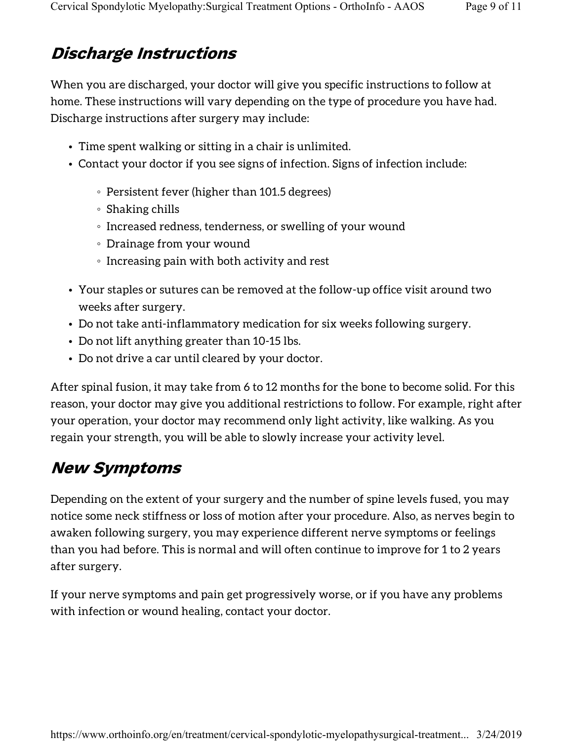#### Discharge Instructions

When you are discharged, your doctor will give you specific instructions to follow at home. These instructions will vary depending on the type of procedure you have had. Discharge instructions after surgery may include:

- Time spent walking or sitting in a chair is unlimited.
- Contact your doctor if you see signs of infection. Signs of infection include:
	- Persistent fever (higher than 101.5 degrees)
	- Shaking chills
	- Increased redness, tenderness, or swelling of your wound
	- Drainage from your wound
	- Increasing pain with both activity and rest
- Your staples or sutures can be removed at the follow-up office visit around two weeks after surgery.
- Do not take anti-inflammatory medication for six weeks following surgery.
- Do not lift anything greater than 10-15 lbs.
- Do not drive a car until cleared by your doctor.

After spinal fusion, it may take from 6 to 12 months for the bone to become solid. For this reason, your doctor may give you additional restrictions to follow. For example, right after your operation, your doctor may recommend only light activity, like walking. As you regain your strength, you will be able to slowly increase your activity level.

#### New Symptoms

Depending on the extent of your surgery and the number of spine levels fused, you may notice some neck stiffness or loss of motion after your procedure. Also, as nerves begin to awaken following surgery, you may experience different nerve symptoms or feelings than you had before. This is normal and will often continue to improve for 1 to 2 years after surgery.

If your nerve symptoms and pain get progressively worse, or if you have any problems with infection or wound healing, contact your doctor.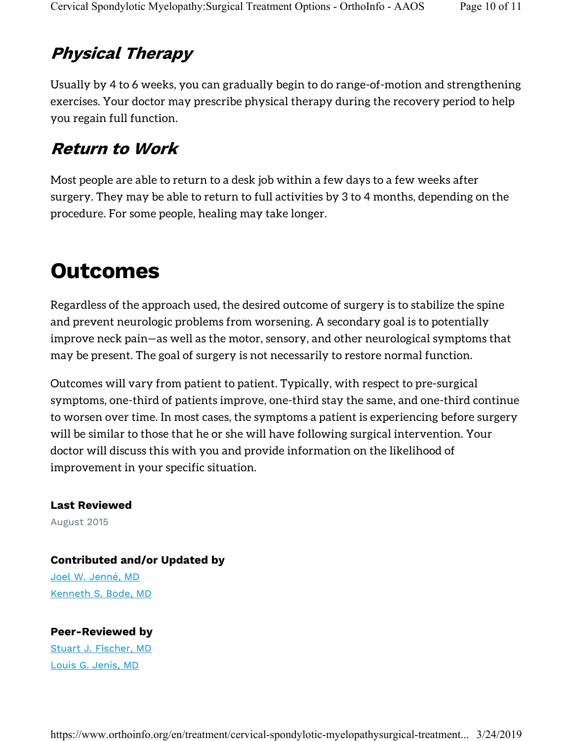#### Physical Therapy

Usually by 4 to 6 weeks, you can gradually begin to do range-of-motion and strengthening exercises. Your doctor may prescribe physical therapy during the recovery period to help you regain full function.

#### Return to Work

Most people are able to return to a desk job within a few days to a few weeks after surgery. They may be able to return to full activities by 3 to 4 months, depending on the procedure. For some people, healing may take longer.

### **Outcomes**

Regardless of the approach used, the desired outcome of surgery is to stabilize the spine and prevent neurologic problems from worsening. A secondary goal is to potentially improve neck pain—as well as the motor, sensory, and other neurological symptoms that may be present. The goal of surgery is not necessarily to restore normal function.

Outcomes will vary from patient to patient. Typically, with respect to pre-surgical symptoms, one-third of patients improve, one-third stay the same, and one-third continue to worsen over time. In most cases, the symptoms a patient is experiencing before surgery will be similar to those that he or she will have following surgical intervention. Your doctor will discuss this with you and provide information on the likelihood of improvement in your specific situation.

#### Last Reviewed

August 2015

#### Contributed and/or Updated by

Joel W. Jenné, MD Kenneth S. Bode, MD

#### Peer-Reviewed by

Stuart J. Fischer, MD Louis G. Jenis, MD